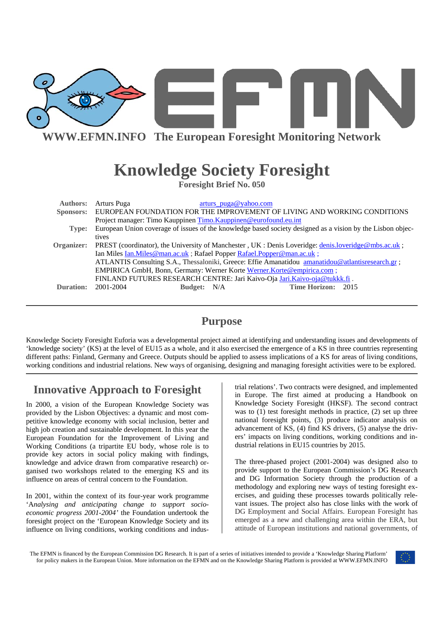

**WWW.EFMN.INFO The European Foresight Monitoring Network**

# **Knowledge Society Foresight**

**Foresight Brief No. 050** 

| Sponsors: EUROPEAN FOUNDATION FOR THE IMPROVEMENT OF LIVING AND WORKING CONDITIONS                            |  |  |
|---------------------------------------------------------------------------------------------------------------|--|--|
|                                                                                                               |  |  |
| European Union coverage of issues of the knowledge based society designed as a vision by the Lisbon objec-    |  |  |
|                                                                                                               |  |  |
| Organizer: PREST (coordinator), the University of Manchester, UK: Denis Loveridge: denis.loveridge@mbs.ac.uk; |  |  |
| Ian Miles <u>Ian. Miles @ man.ac.uk</u> ; Rafael Popper <b>Rafael. Popper @ man.ac.uk</b> ;                   |  |  |
| ATLANTIS Consulting S.A., Thessaloniki, Greece: Effie Amanatidou amanatidou@atlantisresearch.gr;              |  |  |
|                                                                                                               |  |  |
| FINLAND FUTURES RESEARCH CENTRE: Jari Kaivo-Oja Jari.Kaivo-oja@tukkk.fi .                                     |  |  |
| Time Horizon: 2015                                                                                            |  |  |
|                                                                                                               |  |  |

# **Purpose**

Knowledge Society Foresight Euforia was a developmental project aimed at identifying and understanding issues and developments of 'knowledge society' (KS) at the level of EU15 as a whole, and it also exercised the emergence of a KS in three countries representing different paths: Finland, Germany and Greece. Outputs should be applied to assess implications of a KS for areas of living conditions, working conditions and industrial relations. New ways of organising, designing and managing foresight activities were to be explored.

# **Innovative Approach to Foresight**

In 2000, a vision of the European Knowledge Society was provided by the Lisbon Objectives: a dynamic and most competitive knowledge economy with social inclusion, better and high job creation and sustainable development. In this year the European Foundation for the Improvement of Living and Working Conditions (a tripartite EU body, whose role is to provide key actors in social policy making with findings, knowledge and advice drawn from comparative research) organised two workshops related to the emerging KS and its influence on areas of central concern to the Foundation.

In 2001, within the context of its four-year work programme 'A*nalysing and anticipating change to support socioeconomic progress 2001-2004'* the Foundation undertook the foresight project on the 'European Knowledge Society and its influence on living conditions, working conditions and indus-

trial relations'. Two contracts were designed, and implemented in Europe. The first aimed at producing a Handbook on Knowledge Society Foresight (HKSF). The second contract was to  $(1)$  test foresight methods in practice,  $(2)$  set up three national foresight points, (3) produce indicator analysis on advancement of KS, (4) find KS drivers, (5) analyse the drivers' impacts on living conditions, working conditions and industrial relations in EU15 countries by 2015.

The three-phased project (2001-2004) was designed also to provide support to the European Commission's DG Research and DG Information Society through the production of a methodology and exploring new ways of testing foresight exercises, and guiding these processes towards politically relevant issues. The project also has close links with the work of DG Employment and Social Affairs. European Foresight has emerged as a new and challenging area within the ERA, but attitude of European institutions and national governments, of

The EFMN is financed by the European Commission DG Research. It is part of a series of initiatives intended to provide a 'Knowledge Sharing Platform' for policy makers in the European Union. More information on the EFMN and on the Knowledge Sharing Platform is provided at WWW.EFMN.INFO

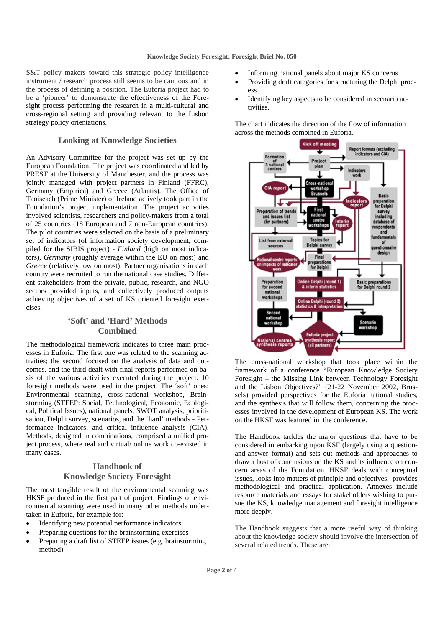S&T policy makers toward this strategic policy intelligence instrument / research process still seems to be cautious and in the process of defining a position. The Euforia project had to be a 'pioneer' to demonstrate the effectiveness of the Foresight process performing the research in a multi-cultural and cross-regional setting and providing relevant to the Lisbon strategy policy orientations.

#### **Looking at Knowledge Societies**

An Advisory Committee for the project was set up by the European Foundation. The project was coordinated and led by PREST at the University of Manchester, and the process was jointly managed with project partners in Finland (FFRC), Germany (Empirica) and Greece (Atlantis). The Office of Taoiseach (Prime Minister) of Ireland actively took part in the Foundation's project implementation. The project activities involved scientists, researchers and policy-makers from a total of 25 countries (18 European and 7 non-European countries). The pilot countries were selected on the basis of a preliminary set of indicators (of information society development, compiled for the SIBIS project) - *Finland* (high on most indicators), *Germany* (roughly average within the EU on most) and *Greece* (relatively low on most). Partner organisations in each country were recruited to run the national case studies. Different stakeholders from the private, public, research, and NGO sectors provided inputs, and collectively produced outputs achieving objectives of a set of KS oriented foresight exercises.

## **'Soft' and 'Hard' Methods Combined**

The methodological framework indicates to three main processes in Euforia. The first one was related to the scanning activities; the second focused on the analysis of data and outcomes, and the third dealt with final reports performed on basis of the various activities executed during the project. 10 foresight methods were used in the project. The 'soft' ones: Environmental scanning, cross-national workshop, Brainstorming (STEEP: Social, Technological, Economic, Ecological, Political Issues), national panels, SWOT analysis, prioritisation, Delphi survey, scenarios, and the 'hard' methods - Performance indicators, and critical influence analysis (CIA). Methods, designed in combinations, comprised a unified project process, where real and virtual/ online work co-existed in many cases.

## **Handbook of Knowledge Society Foresight**

The most tangible result of the environmental scanning was HKSF produced in the first part of project. Findings of environmental scanning were used in many other methods undertaken in Euforia, for example for:

- Identifying new potential performance indicators
- Preparing questions for the brainstorming exercises
- Preparing a draft list of STEEP issues (e.g. brainstorming method)
- Informing national panels about major KS concerns
- Providing draft categories for structuring the Delphi process
- Identifying key aspects to be considered in scenario activities.

The chart indicates the direction of the flow of information across the methods combined in Euforia.



The cross-national workshop that took place within the framework of a conference "European Knowledge Society Foresight – the Missing Link between Technology Foresight and the Lisbon Objectives?" (21-22 November 2002, Brussels) provided perspectives for the Euforia national studies, and the synthesis that will follow them, concerning the processes involved in the development of European KS. The work on the HKSF was featured in the conference.

The Handbook tackles the major questions that have to be considered in embarking upon KSF (largely using a questionand-answer format) and sets out methods and approaches to draw a host of conclusions on the KS and its influence on concern areas of the Foundation. HKSF deals with conceptual issues, looks into matters of principle and objectives, provides methodological and practical application. Annexes include resource materials and essays for stakeholders wishing to pursue the KS, knowledge management and foresight intelligence more deeply.

The Handbook suggests that a more useful way of thinking about the knowledge society should involve the intersection of several related trends. These are: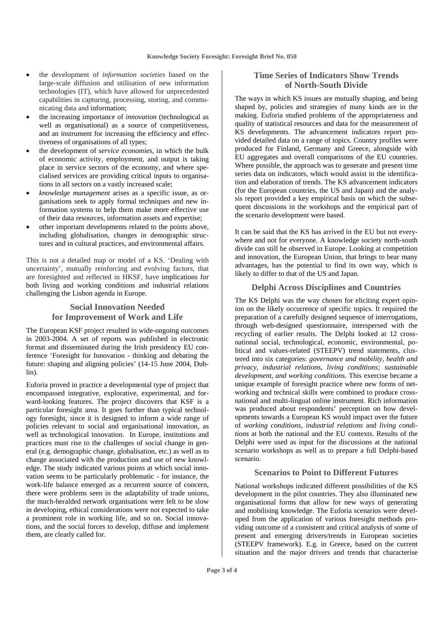- the development of *information societies* based on the large-scale diffusion and utilisation of new information technologies (IT), which have allowed for unprecedented capabilities in capturing, processing, storing, and communicating data and information;
- the increasing importance of *innovation* (technological as well as organisational) as a source of competitiveness, and an instrument for increasing the efficiency and effectiveness of organisations of all types;
- the development of *service economies*, in which the bulk of economic activity, employment, and output is taking place in service sectors of the economy, and where specialised services are providing critical inputs to organisations in all sectors on a vastly increased scale;
- *knowledge management* arises as a specific issue, as organisations seek to apply formal techniques and new information systems to help them make more effective use of their data resources, information assets and expertise;
- other important developments related to the points above, including globalisation, changes in demographic structures and in cultural practices, and environmental affairs.

This is not a detailed map or model of a KS. 'Dealing with uncertainty', mutually reinforcing and evolving factors, that are foresighted and reflected in HKSF, have implications for both living and working conditions and industrial relations challenging the Lisbon agenda in Europe.

## **Social Innovation Needed for Improvement of Work and Life**

The European KSF project resulted in wide-ongoing outcomes in 2003-2004. A set of reports was published in electronic format and disseminated during the Irish presidency EU conference 'Foresight for Innovation - thinking and debating the future: shaping and aligning policies' (14-15 June 2004, Dublin).

Euforia proved in practice a developmental type of project that encompassed integrative, explorative, experimental, and forward-looking features. The project discovers that KSF is a particular foresight area. It goes further than typical technology foresight, since it is designed to inform a wide range of policies relevant to social and organisational innovation, as well as technological innovation. In Europe, institutions and practices must rise to the challenges of social change in general (e.g. demographic change, globalisation, etc.) as well as to change associated with the production and use of new knowledge. The study indicated various points at which social innovation seems to be particularly problematic - for instance, the work-life balance emerged as a recurrent source of concern, there were problems seen in the adaptability of trade unions, the much-heralded network organisations were felt to be slow in developing, ethical considerations were not expected to take a prominent role in working life, and so on. Social innovations, and the social forces to develop, diffuse and implement them, are clearly called for.

### **Time Series of Indicators Show Trends of North-South Divide**

The ways in which KS issues are mutually shaping, and being shaped by, policies and strategies of many kinds are in the making. Euforia studied problems of the appropriateness and quality of statistical resources and data for the measurement of KS developments. The advancement indicators report provided detailed data on a range of topics. Country profiles were produced for Finland, Germany and Greece, alongside with EU aggregates and overall comparisons of the EU countries. Where possible, the approach was to generate and present time series data on indicators, which would assist in the identification and elaboration of trends. The KS advancement indicators (for the European countries, the US and Japan) and the analysis report provided a key empirical basis on which the subsequent discussions in the workshops and the empirical part of the scenario development were based.

It can be said that the KS has arrived in the EU but not everywhere and not for everyone. A knowledge society north-south divide can still be observed in Europe. Looking at competition and innovation, the European Union, that brings to bear many advantages, has the potential to find its own way, which is likely to differ to that of the US and Japan.

#### **Delphi Across Disciplines and Countries**

The KS Delphi was the way chosen for eliciting expert opinion on the likely occurrence of specific topics. It required the preparation of a carefully designed sequence of interrogations, through web-designed questionnaire, interspersed with the recycling of earlier results. The Delphi looked at 12 crossnational social, technological, economic, environmental, political and values-related (STEEPV) trend statements, clustered into six categories: *governance and mobility, health and privacy, industrial relations, living conditions; sustainable development*, *and working conditions*. This exercise became a unique example of foresight practice where new forms of networking and technical skills were combined to produce crossnational and multi-lingual online instrument. Rich information was produced about respondents' perception on how developments towards a European KS would impact over the future of *working conditions*, *industrial relations* and *living conditions* at both the national and the EU contexts. Results of the Delphi were used as input for the discussions at the national scenario workshops as well as to prepare a full Delphi-based scenario.

#### **Scenarios to Point to Different Futures**

National workshops indicated different possibilities of the KS development in the pilot countries. They also illuminated new organisational forms that allow for new ways of generating and mobilising knowledge. The Euforia scenarios were developed from the application of various foresight methods providing outcome of a consistent and critical analysis of some of present and emerging drivers/trends in European societies (STEEPV framework). E.g. in Greece, based on the current situation and the major drivers and trends that characterise